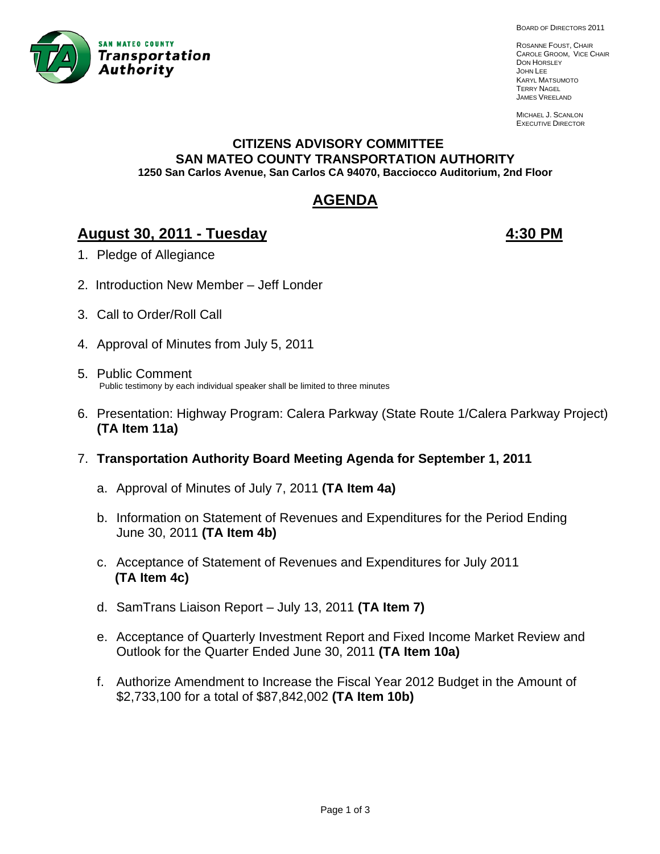

BOARD OF DIRECTORS 2011

ROSANNE FOUST, CHAIR CAROLE GROOM, VICE CHAIR DON HORSLEY JOHN LEE KARYL MATSUMOTO TERRY NAGEL JAMES VREELAND

MICHAEL J. SCANLON EXECUTIVE DIRECTOR

## **CITIZENS ADVISORY COMMITTEE SAN MATEO COUNTY TRANSPORTATION AUTHORITY 1250 San Carlos Avenue, San Carlos CA 94070, Bacciocco Auditorium, 2nd Floor**

# **AGENDA**

# **August 30, 2011 - Tuesday 4:30 PM**

- 1. Pledge of Allegiance
- 2. Introduction New Member Jeff Londer
- 3. Call to Order/Roll Call
- 4. Approval of Minutes from July 5, 2011
- 5. Public Comment Public testimony by each individual speaker shall be limited to three minutes
- 6. Presentation: Highway Program: Calera Parkway (State Route 1/Calera Parkway Project) **(TA Item 11a)**
- 7. **Transportation Authority Board Meeting Agenda for September 1, 2011**
	- a. Approval of Minutes of July 7, 2011 **(TA Item 4a)**
	- b. Information on Statement of Revenues and Expenditures for the Period Ending June 30, 2011 **(TA Item 4b)**
	- c. Acceptance of Statement of Revenues and Expenditures for July 2011  **(TA Item 4c)**
	- d. SamTrans Liaison Report July 13, 2011 **(TA Item 7)**
	- e. Acceptance of Quarterly Investment Report and Fixed Income Market Review and Outlook for the Quarter Ended June 30, 2011 **(TA Item 10a)**
	- f. Authorize Amendment to Increase the Fiscal Year 2012 Budget in the Amount of \$2,733,100 for a total of \$87,842,002 **(TA Item 10b)**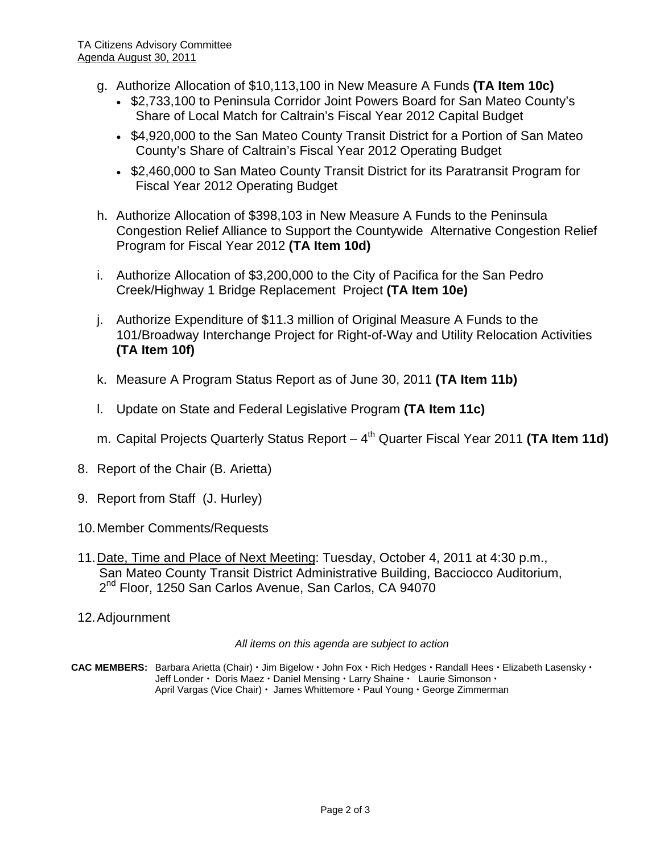- g. Authorize Allocation of \$10,113,100 in New Measure A Funds **(TA Item 10c)**
	- \$2,733,100 to Peninsula Corridor Joint Powers Board for San Mateo County's Share of Local Match for Caltrain's Fiscal Year 2012 Capital Budget
	- \$4,920,000 to the San Mateo County Transit District for a Portion of San Mateo County's Share of Caltrain's Fiscal Year 2012 Operating Budget
	- \$2,460,000 to San Mateo County Transit District for its Paratransit Program for Fiscal Year 2012 Operating Budget
- h. Authorize Allocation of \$398,103 in New Measure A Funds to the Peninsula Congestion Relief Alliance to Support the Countywide Alternative Congestion Relief Program for Fiscal Year 2012 **(TA Item 10d)**
- i. Authorize Allocation of \$3,200,000 to the City of Pacifica for the San Pedro Creek/Highway 1 Bridge Replacement Project **(TA Item 10e)**
- j. Authorize Expenditure of \$11.3 million of Original Measure A Funds to the 101/Broadway Interchange Project for Right-of-Way and Utility Relocation Activities **(TA Item 10f)**
- k. Measure A Program Status Report as of June 30, 2011 **(TA Item 11b)**
- l. Update on State and Federal Legislative Program **(TA Item 11c)**
- m. Capital Projects Quarterly Status Report 4<sup>th</sup> Quarter Fiscal Year 2011 (TA Item 11d)
- 8. Report of the Chair (B. Arietta)
- 9. Report from Staff (J. Hurley)
- 10. Member Comments/Requests
- 11. Date, Time and Place of Next Meeting: Tuesday, October 4, 2011 at 4:30 p.m., San Mateo County Transit District Administrative Building, Bacciocco Auditorium, 2<sup>nd</sup> Floor, 1250 San Carlos Avenue, San Carlos, CA 94070
- 12. Adjournment

*All items on this agenda are subject to action* 

CAC MEMBERS: Barbara Arietta (Chair) · Jim Bigelow · John Fox · Rich Hedges · Randall Hees · Elizabeth Lasensky · Jeff Londer  $\cdot$  Doris Maez  $\cdot$  Daniel Mensing  $\cdot$  Larry Shaine  $\cdot$  Laurie Simonson  $\cdot$ April Vargas (Vice Chair) · James Whittemore · Paul Young · George Zimmerman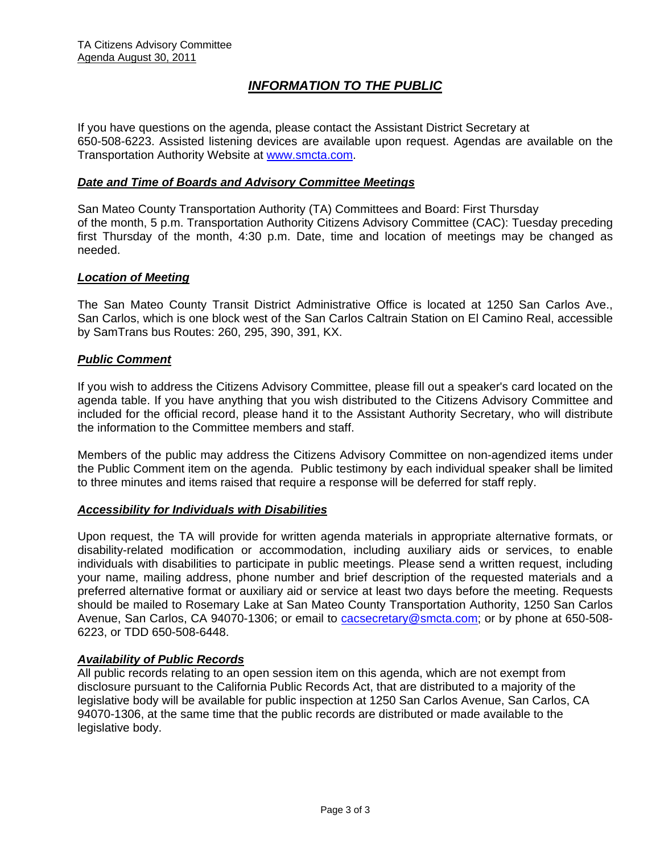# *INFORMATION TO THE PUBLIC*

If you have questions on the agenda, please contact the Assistant District Secretary at 650-508-6223. Assisted listening devices are available upon request. Agendas are available on the Transportation Authority Website at [www.smcta.com.](http://www.smcta.com/)

#### *Date and Time of Boards and Advisory Committee Meetings*

San Mateo County Transportation Authority (TA) Committees and Board: First Thursday of the month, 5 p.m. Transportation Authority Citizens Advisory Committee (CAC): Tuesday preceding first Thursday of the month, 4:30 p.m. Date, time and location of meetings may be changed as needed.

#### *Location of Meeting*

The San Mateo County Transit District Administrative Office is located at 1250 San Carlos Ave., San Carlos, which is one block west of the San Carlos Caltrain Station on El Camino Real, accessible by SamTrans bus Routes: 260, 295, 390, 391, KX.

#### *Public Comment*

If you wish to address the Citizens Advisory Committee, please fill out a speaker's card located on the agenda table. If you have anything that you wish distributed to the Citizens Advisory Committee and included for the official record, please hand it to the Assistant Authority Secretary, who will distribute the information to the Committee members and staff.

Members of the public may address the Citizens Advisory Committee on non-agendized items under the Public Comment item on the agenda. Public testimony by each individual speaker shall be limited to three minutes and items raised that require a response will be deferred for staff reply.

#### *Accessibility for Individuals with Disabilities*

Upon request, the TA will provide for written agenda materials in appropriate alternative formats, or disability-related modification or accommodation, including auxiliary aids or services, to enable individuals with disabilities to participate in public meetings. Please send a written request, including your name, mailing address, phone number and brief description of the requested materials and a preferred alternative format or auxiliary aid or service at least two days before the meeting. Requests should be mailed to Rosemary Lake at San Mateo County Transportation Authority, 1250 San Carlos Avenue, San Carlos, CA 94070-1306; or email to [cacsecretary@smcta.com](mailto:cacsecretary@smcta.com); or by phone at 650-508-6223, or TDD 650-508-6448.

#### *Availability of Public Records*

All public records relating to an open session item on this agenda, which are not exempt from disclosure pursuant to the California Public Records Act, that are distributed to a majority of the legislative body will be available for public inspection at 1250 San Carlos Avenue, San Carlos, CA 94070-1306, at the same time that the public records are distributed or made available to the legislative body.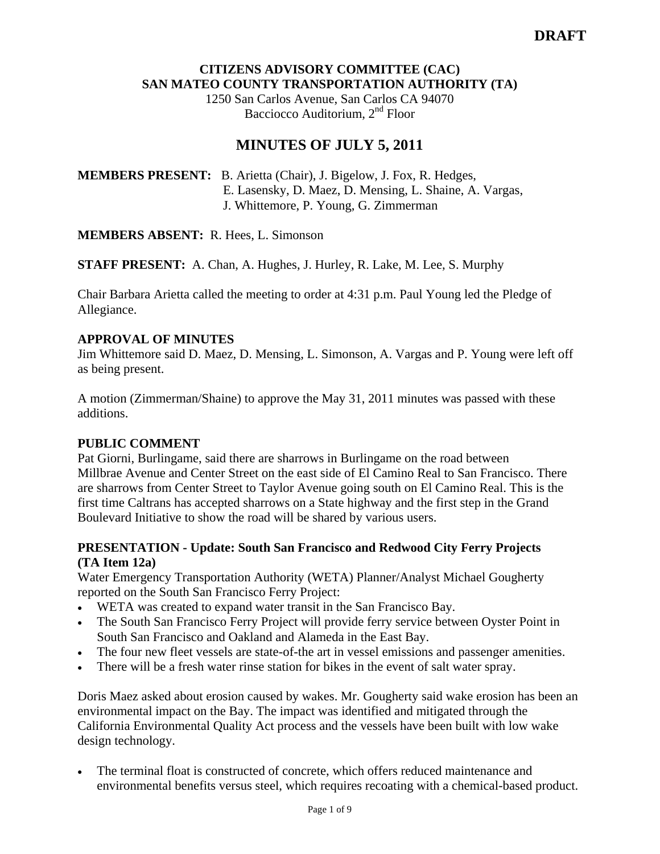# **CITIZENS ADVISORY COMMITTEE (CAC) SAN MATEO COUNTY TRANSPORTATION AUTHORITY (TA)**

1250 San Carlos Avenue, San Carlos CA 94070 Bacciocco Auditorium, 2<sup>nd</sup> Floor

# **MINUTES OF JULY 5, 2011**

**MEMBERS PRESENT:** B. Arietta (Chair), J. Bigelow, J. Fox, R. Hedges, E. Lasensky, D. Maez, D. Mensing, L. Shaine, A. Vargas, J. Whittemore, P. Young, G. Zimmerman

**MEMBERS ABSENT:** R. Hees, L. Simonson

**STAFF PRESENT:** A. Chan, A. Hughes, J. Hurley, R. Lake, M. Lee, S. Murphy

Chair Barbara Arietta called the meeting to order at 4:31 p.m. Paul Young led the Pledge of Allegiance.

# **APPROVAL OF MINUTES**

Jim Whittemore said D. Maez, D. Mensing, L. Simonson, A. Vargas and P. Young were left off as being present.

A motion (Zimmerman/Shaine) to approve the May 31, 2011 minutes was passed with these additions.

## **PUBLIC COMMENT**

Pat Giorni, Burlingame, said there are sharrows in Burlingame on the road between Millbrae Avenue and Center Street on the east side of El Camino Real to San Francisco. There are sharrows from Center Street to Taylor Avenue going south on El Camino Real. This is the first time Caltrans has accepted sharrows on a State highway and the first step in the Grand Boulevard Initiative to show the road will be shared by various users.

# **PRESENTATION - Update: South San Francisco and Redwood City Ferry Projects (TA Item 12a)**

Water Emergency Transportation Authority (WETA) Planner/Analyst Michael Gougherty reported on the South San Francisco Ferry Project:

- WETA was created to expand water transit in the San Francisco Bay.
- The South San Francisco Ferry Project will provide ferry service between Oyster Point in South San Francisco and Oakland and Alameda in the East Bay.
- The four new fleet vessels are state-of-the art in vessel emissions and passenger amenities.
- There will be a fresh water rinse station for bikes in the event of salt water spray.

Doris Maez asked about erosion caused by wakes. Mr. Gougherty said wake erosion has been an environmental impact on the Bay. The impact was identified and mitigated through the California Environmental Quality Act process and the vessels have been built with low wake design technology.

The terminal float is constructed of concrete, which offers reduced maintenance and environmental benefits versus steel, which requires recoating with a chemical-based product.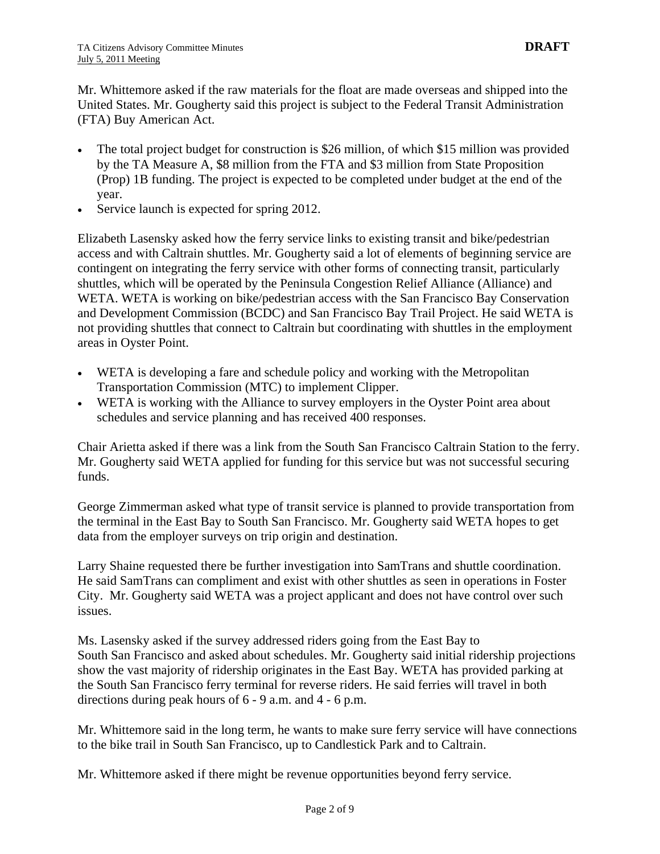Mr. Whittemore asked if the raw materials for the float are made overseas and shipped into the United States. Mr. Gougherty said this project is subject to the Federal Transit Administration (FTA) Buy American Act.

- The total project budget for construction is \$26 million, of which \$15 million was provided by the TA Measure A, \$8 million from the FTA and \$3 million from State Proposition (Prop) 1B funding. The project is expected to be completed under budget at the end of the year.
- Service launch is expected for spring 2012.

Elizabeth Lasensky asked how the ferry service links to existing transit and bike/pedestrian access and with Caltrain shuttles. Mr. Gougherty said a lot of elements of beginning service are contingent on integrating the ferry service with other forms of connecting transit, particularly shuttles, which will be operated by the Peninsula Congestion Relief Alliance (Alliance) and WETA. WETA is working on bike/pedestrian access with the San Francisco Bay Conservation and Development Commission (BCDC) and San Francisco Bay Trail Project. He said WETA is not providing shuttles that connect to Caltrain but coordinating with shuttles in the employment areas in Oyster Point.

- WETA is developing a fare and schedule policy and working with the Metropolitan Transportation Commission (MTC) to implement Clipper.
- WETA is working with the Alliance to survey employers in the Oyster Point area about schedules and service planning and has received 400 responses.

Chair Arietta asked if there was a link from the South San Francisco Caltrain Station to the ferry. Mr. Gougherty said WETA applied for funding for this service but was not successful securing funds.

George Zimmerman asked what type of transit service is planned to provide transportation from the terminal in the East Bay to South San Francisco. Mr. Gougherty said WETA hopes to get data from the employer surveys on trip origin and destination.

Larry Shaine requested there be further investigation into SamTrans and shuttle coordination. He said SamTrans can compliment and exist with other shuttles as seen in operations in Foster City. Mr. Gougherty said WETA was a project applicant and does not have control over such issues.

Ms. Lasensky asked if the survey addressed riders going from the East Bay to South San Francisco and asked about schedules. Mr. Gougherty said initial ridership projections show the vast majority of ridership originates in the East Bay. WETA has provided parking at the South San Francisco ferry terminal for reverse riders. He said ferries will travel in both directions during peak hours of 6 - 9 a.m. and 4 - 6 p.m.

Mr. Whittemore said in the long term, he wants to make sure ferry service will have connections to the bike trail in South San Francisco, up to Candlestick Park and to Caltrain.

Mr. Whittemore asked if there might be revenue opportunities beyond ferry service.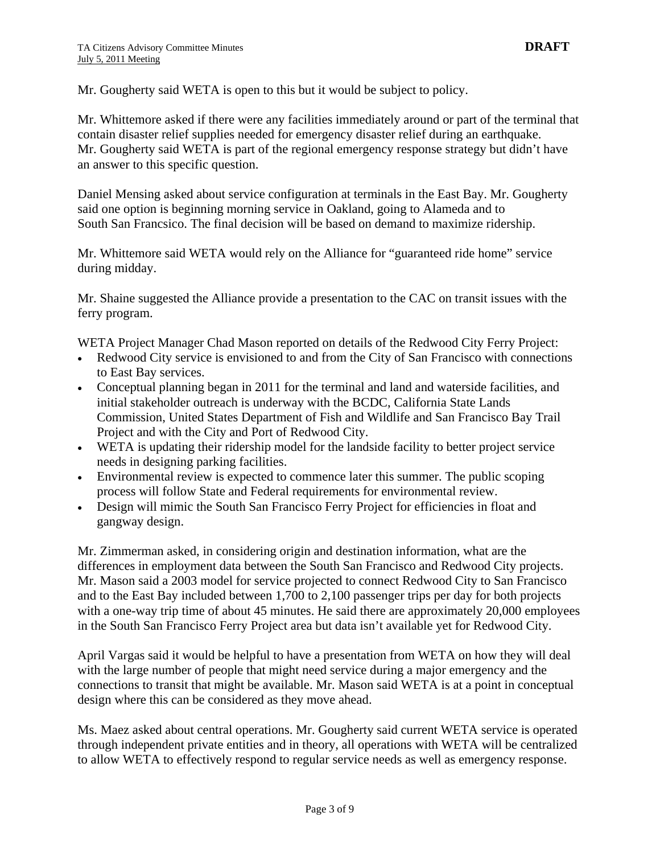Mr. Gougherty said WETA is open to this but it would be subject to policy.

Mr. Whittemore asked if there were any facilities immediately around or part of the terminal that contain disaster relief supplies needed for emergency disaster relief during an earthquake. Mr. Gougherty said WETA is part of the regional emergency response strategy but didn't have an answer to this specific question.

Daniel Mensing asked about service configuration at terminals in the East Bay. Mr. Gougherty said one option is beginning morning service in Oakland, going to Alameda and to South San Francsico. The final decision will be based on demand to maximize ridership.

Mr. Whittemore said WETA would rely on the Alliance for "guaranteed ride home" service during midday.

Mr. Shaine suggested the Alliance provide a presentation to the CAC on transit issues with the ferry program.

WETA Project Manager Chad Mason reported on details of the Redwood City Ferry Project:

- Redwood City service is envisioned to and from the City of San Francisco with connections to East Bay services.
- Conceptual planning began in 2011 for the terminal and land and waterside facilities, and initial stakeholder outreach is underway with the BCDC, California State Lands Commission, United States Department of Fish and Wildlife and San Francisco Bay Trail Project and with the City and Port of Redwood City.
- WETA is updating their ridership model for the landside facility to better project service needs in designing parking facilities.
- Environmental review is expected to commence later this summer. The public scoping process will follow State and Federal requirements for environmental review.
- Design will mimic the South San Francisco Ferry Project for efficiencies in float and gangway design.

Mr. Zimmerman asked, in considering origin and destination information, what are the differences in employment data between the South San Francisco and Redwood City projects. Mr. Mason said a 2003 model for service projected to connect Redwood City to San Francisco and to the East Bay included between 1,700 to 2,100 passenger trips per day for both projects with a one-way trip time of about 45 minutes. He said there are approximately 20,000 employees in the South San Francisco Ferry Project area but data isn't available yet for Redwood City.

April Vargas said it would be helpful to have a presentation from WETA on how they will deal with the large number of people that might need service during a major emergency and the connections to transit that might be available. Mr. Mason said WETA is at a point in conceptual design where this can be considered as they move ahead.

Ms. Maez asked about central operations. Mr. Gougherty said current WETA service is operated through independent private entities and in theory, all operations with WETA will be centralized to allow WETA to effectively respond to regular service needs as well as emergency response.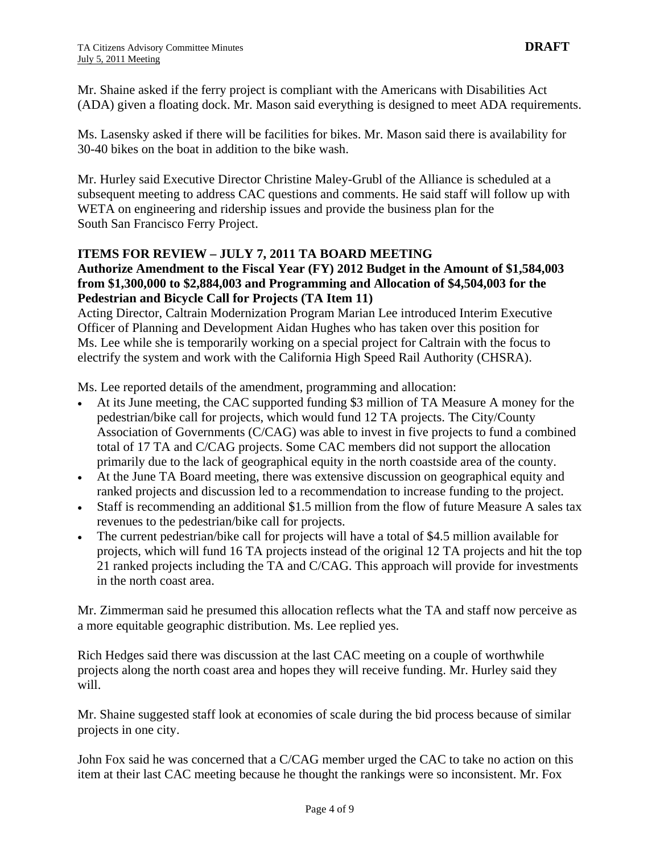Mr. Shaine asked if the ferry project is compliant with the Americans with Disabilities Act (ADA) given a floating dock. Mr. Mason said everything is designed to meet ADA requirements.

Ms. Lasensky asked if there will be facilities for bikes. Mr. Mason said there is availability for 30-40 bikes on the boat in addition to the bike wash.

Mr. Hurley said Executive Director Christine Maley-Grubl of the Alliance is scheduled at a subsequent meeting to address CAC questions and comments. He said staff will follow up with WETA on engineering and ridership issues and provide the business plan for the South San Francisco Ferry Project.

## **ITEMS FOR REVIEW – JULY 7, 2011 TA BOARD MEETING**

# **Authorize Amendment to the Fiscal Year (FY) 2012 Budget in the Amount of \$1,584,003 from \$1,300,000 to \$2,884,003 and Programming and Allocation of \$4,504,003 for the Pedestrian and Bicycle Call for Projects (TA Item 11)**

Acting Director, Caltrain Modernization Program Marian Lee introduced Interim Executive Officer of Planning and Development Aidan Hughes who has taken over this position for Ms. Lee while she is temporarily working on a special project for Caltrain with the focus to electrify the system and work with the California High Speed Rail Authority (CHSRA).

Ms. Lee reported details of the amendment, programming and allocation:

- At its June meeting, the CAC supported funding \$3 million of TA Measure A money for the pedestrian/bike call for projects, which would fund 12 TA projects. The City/County Association of Governments (C/CAG) was able to invest in five projects to fund a combined total of 17 TA and C/CAG projects. Some CAC members did not support the allocation primarily due to the lack of geographical equity in the north coastside area of the county.
- At the June TA Board meeting, there was extensive discussion on geographical equity and ranked projects and discussion led to a recommendation to increase funding to the project.
- Staff is recommending an additional \$1.5 million from the flow of future Measure A sales tax revenues to the pedestrian/bike call for projects.
- The current pedestrian/bike call for projects will have a total of \$4.5 million available for projects, which will fund 16 TA projects instead of the original 12 TA projects and hit the top 21 ranked projects including the TA and C/CAG. This approach will provide for investments in the north coast area.

Mr. Zimmerman said he presumed this allocation reflects what the TA and staff now perceive as a more equitable geographic distribution. Ms. Lee replied yes.

Rich Hedges said there was discussion at the last CAC meeting on a couple of worthwhile projects along the north coast area and hopes they will receive funding. Mr. Hurley said they will.

Mr. Shaine suggested staff look at economies of scale during the bid process because of similar projects in one city.

John Fox said he was concerned that a C/CAG member urged the CAC to take no action on this item at their last CAC meeting because he thought the rankings were so inconsistent. Mr. Fox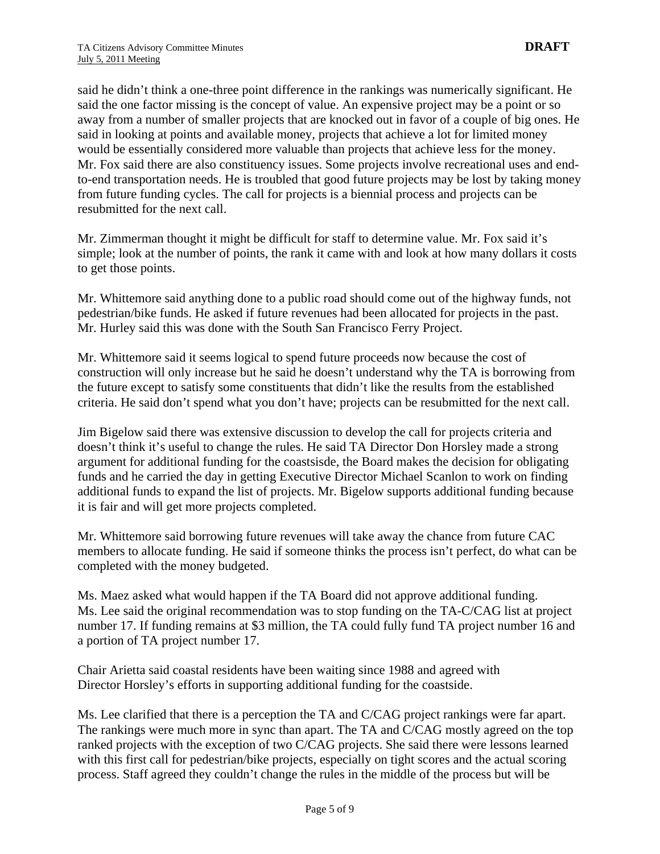said he didn't think a one-three point difference in the rankings was numerically significant. He said the one factor missing is the concept of value. An expensive project may be a point or so away from a number of smaller projects that are knocked out in favor of a couple of big ones. He said in looking at points and available money, projects that achieve a lot for limited money would be essentially considered more valuable than projects that achieve less for the money. Mr. Fox said there are also constituency issues. Some projects involve recreational uses and endto-end transportation needs. He is troubled that good future projects may be lost by taking money from future funding cycles. The call for projects is a biennial process and projects can be resubmitted for the next call.

Mr. Zimmerman thought it might be difficult for staff to determine value. Mr. Fox said it's simple; look at the number of points, the rank it came with and look at how many dollars it costs to get those points.

Mr. Whittemore said anything done to a public road should come out of the highway funds, not pedestrian/bike funds. He asked if future revenues had been allocated for projects in the past. Mr. Hurley said this was done with the South San Francisco Ferry Project.

Mr. Whittemore said it seems logical to spend future proceeds now because the cost of construction will only increase but he said he doesn't understand why the TA is borrowing from the future except to satisfy some constituents that didn't like the results from the established criteria. He said don't spend what you don't have; projects can be resubmitted for the next call.

Jim Bigelow said there was extensive discussion to develop the call for projects criteria and doesn't think it's useful to change the rules. He said TA Director Don Horsley made a strong argument for additional funding for the coastsisde, the Board makes the decision for obligating funds and he carried the day in getting Executive Director Michael Scanlon to work on finding additional funds to expand the list of projects. Mr. Bigelow supports additional funding because it is fair and will get more projects completed.

Mr. Whittemore said borrowing future revenues will take away the chance from future CAC members to allocate funding. He said if someone thinks the process isn't perfect, do what can be completed with the money budgeted.

Ms. Maez asked what would happen if the TA Board did not approve additional funding. Ms. Lee said the original recommendation was to stop funding on the TA-C/CAG list at project number 17. If funding remains at \$3 million, the TA could fully fund TA project number 16 and a portion of TA project number 17.

Chair Arietta said coastal residents have been waiting since 1988 and agreed with Director Horsley's efforts in supporting additional funding for the coastside.

Ms. Lee clarified that there is a perception the TA and C/CAG project rankings were far apart. The rankings were much more in sync than apart. The TA and C/CAG mostly agreed on the top ranked projects with the exception of two C/CAG projects. She said there were lessons learned with this first call for pedestrian/bike projects, especially on tight scores and the actual scoring process. Staff agreed they couldn't change the rules in the middle of the process but will be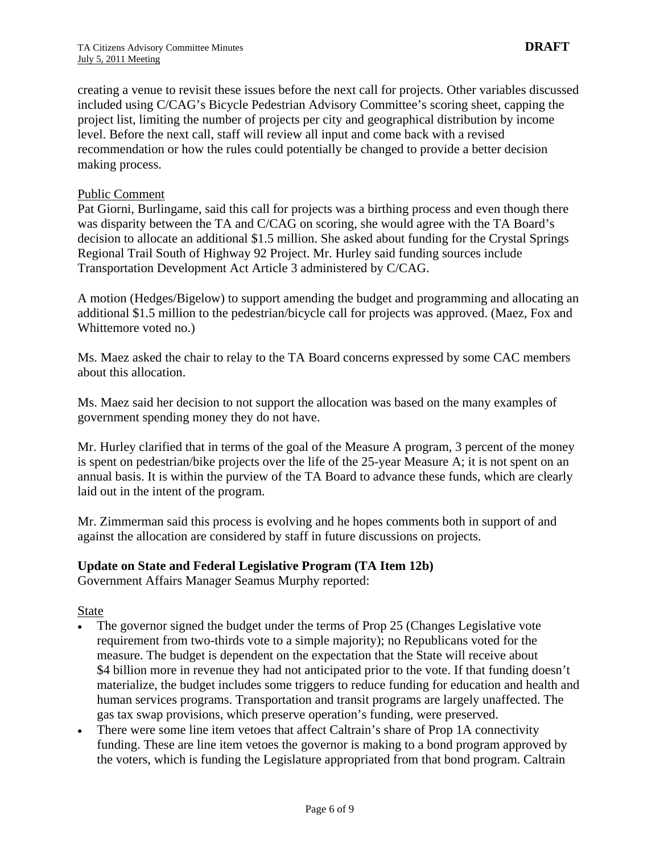creating a venue to revisit these issues before the next call for projects. Other variables discussed included using C/CAG's Bicycle Pedestrian Advisory Committee's scoring sheet, capping the project list, limiting the number of projects per city and geographical distribution by income level. Before the next call, staff will review all input and come back with a revised recommendation or how the rules could potentially be changed to provide a better decision making process.

#### Public Comment

Pat Giorni, Burlingame, said this call for projects was a birthing process and even though there was disparity between the TA and C/CAG on scoring, she would agree with the TA Board's decision to allocate an additional \$1.5 million. She asked about funding for the Crystal Springs Regional Trail South of Highway 92 Project. Mr. Hurley said funding sources include Transportation Development Act Article 3 administered by C/CAG.

A motion (Hedges/Bigelow) to support amending the budget and programming and allocating an additional \$1.5 million to the pedestrian/bicycle call for projects was approved. (Maez, Fox and Whittemore voted no.)

Ms. Maez asked the chair to relay to the TA Board concerns expressed by some CAC members about this allocation.

Ms. Maez said her decision to not support the allocation was based on the many examples of government spending money they do not have.

Mr. Hurley clarified that in terms of the goal of the Measure A program, 3 percent of the money is spent on pedestrian/bike projects over the life of the 25-year Measure A; it is not spent on an annual basis. It is within the purview of the TA Board to advance these funds, which are clearly laid out in the intent of the program.

Mr. Zimmerman said this process is evolving and he hopes comments both in support of and against the allocation are considered by staff in future discussions on projects.

#### **Update on State and Federal Legislative Program (TA Item 12b)**

Government Affairs Manager Seamus Murphy reported:

State

- The governor signed the budget under the terms of Prop 25 (Changes Legislative vote requirement from two-thirds vote to a simple majority); no Republicans voted for the measure. The budget is dependent on the expectation that the State will receive about \$4 billion more in revenue they had not anticipated prior to the vote. If that funding doesn't materialize, the budget includes some triggers to reduce funding for education and health and human services programs. Transportation and transit programs are largely unaffected. The gas tax swap provisions, which preserve operation's funding, were preserved.
- There were some line item vetoes that affect Caltrain's share of Prop 1A connectivity funding. These are line item vetoes the governor is making to a bond program approved by the voters, which is funding the Legislature appropriated from that bond program. Caltrain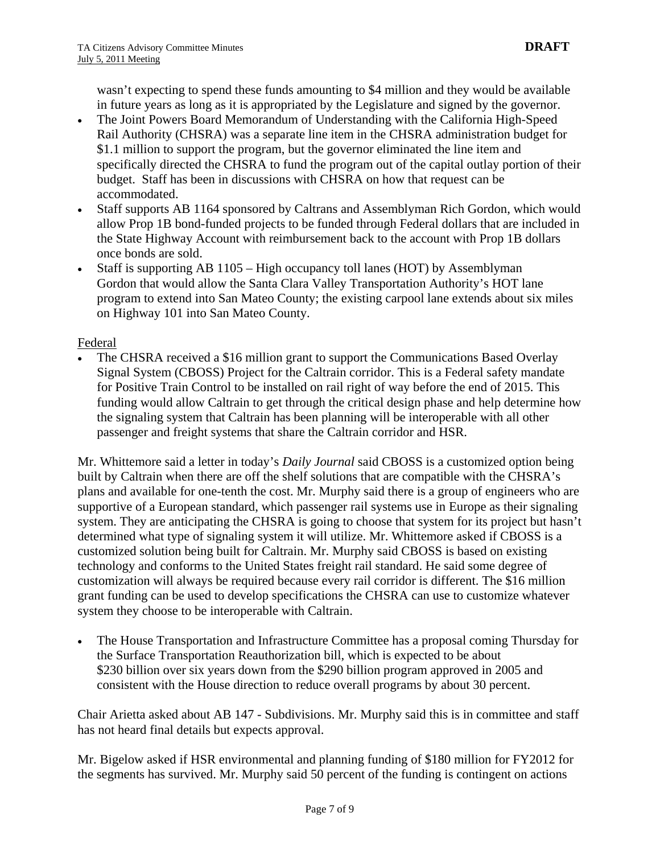wasn't expecting to spend these funds amounting to \$4 million and they would be available in future years as long as it is appropriated by the Legislature and signed by the governor.

- The Joint Powers Board Memorandum of Understanding with the California High-Speed Rail Authority (CHSRA) was a separate line item in the CHSRA administration budget for \$1.1 million to support the program, but the governor eliminated the line item and specifically directed the CHSRA to fund the program out of the capital outlay portion of their budget. Staff has been in discussions with CHSRA on how that request can be accommodated.
- Staff supports AB 1164 sponsored by Caltrans and Assemblyman Rich Gordon, which would allow Prop 1B bond-funded projects to be funded through Federal dollars that are included in the State Highway Account with reimbursement back to the account with Prop 1B dollars once bonds are sold.
- Staff is supporting AB 1105 High occupancy toll lanes (HOT) by Assemblyman Gordon that would allow the Santa Clara Valley Transportation Authority's HOT lane program to extend into San Mateo County; the existing carpool lane extends about six miles on Highway 101 into San Mateo County.

## Federal

• The CHSRA received a \$16 million grant to support the Communications Based Overlay Signal System (CBOSS) Project for the Caltrain corridor. This is a Federal safety mandate for Positive Train Control to be installed on rail right of way before the end of 2015. This funding would allow Caltrain to get through the critical design phase and help determine how the signaling system that Caltrain has been planning will be interoperable with all other passenger and freight systems that share the Caltrain corridor and HSR.

Mr. Whittemore said a letter in today's *Daily Journal* said CBOSS is a customized option being built by Caltrain when there are off the shelf solutions that are compatible with the CHSRA's plans and available for one-tenth the cost. Mr. Murphy said there is a group of engineers who are supportive of a European standard, which passenger rail systems use in Europe as their signaling system. They are anticipating the CHSRA is going to choose that system for its project but hasn't determined what type of signaling system it will utilize. Mr. Whittemore asked if CBOSS is a customized solution being built for Caltrain. Mr. Murphy said CBOSS is based on existing technology and conforms to the United States freight rail standard. He said some degree of customization will always be required because every rail corridor is different. The \$16 million grant funding can be used to develop specifications the CHSRA can use to customize whatever system they choose to be interoperable with Caltrain.

• The House Transportation and Infrastructure Committee has a proposal coming Thursday for the Surface Transportation Reauthorization bill, which is expected to be about \$230 billion over six years down from the \$290 billion program approved in 2005 and consistent with the House direction to reduce overall programs by about 30 percent.

Chair Arietta asked about AB 147 - Subdivisions. Mr. Murphy said this is in committee and staff has not heard final details but expects approval.

Mr. Bigelow asked if HSR environmental and planning funding of \$180 million for FY2012 for the segments has survived. Mr. Murphy said 50 percent of the funding is contingent on actions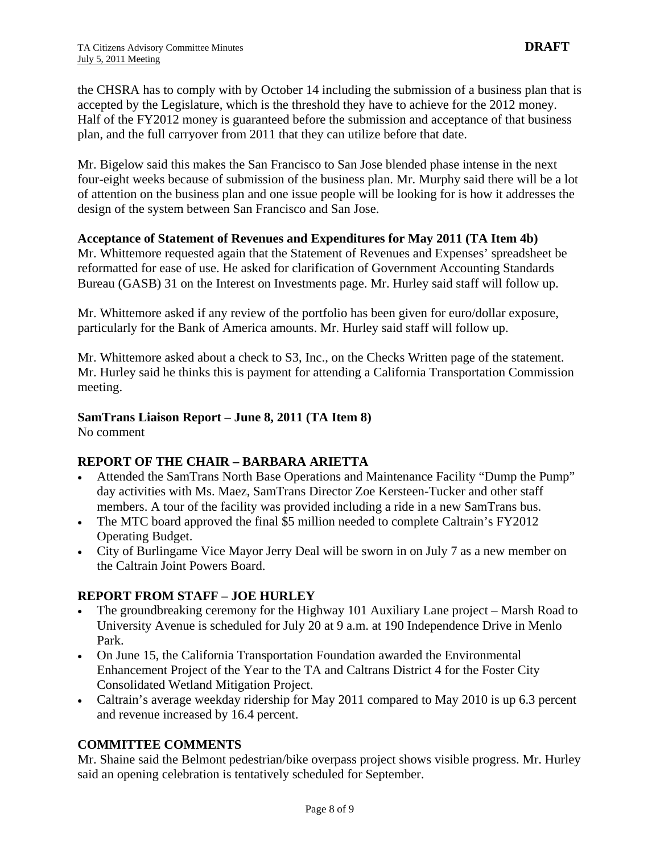the CHSRA has to comply with by October 14 including the submission of a business plan that is accepted by the Legislature, which is the threshold they have to achieve for the 2012 money. Half of the FY2012 money is guaranteed before the submission and acceptance of that business plan, and the full carryover from 2011 that they can utilize before that date.

Mr. Bigelow said this makes the San Francisco to San Jose blended phase intense in the next four-eight weeks because of submission of the business plan. Mr. Murphy said there will be a lot of attention on the business plan and one issue people will be looking for is how it addresses the design of the system between San Francisco and San Jose.

## **Acceptance of Statement of Revenues and Expenditures for May 2011 (TA Item 4b)**

Mr. Whittemore requested again that the Statement of Revenues and Expenses' spreadsheet be reformatted for ease of use. He asked for clarification of Government Accounting Standards Bureau (GASB) 31 on the Interest on Investments page. Mr. Hurley said staff will follow up.

Mr. Whittemore asked if any review of the portfolio has been given for euro/dollar exposure, particularly for the Bank of America amounts. Mr. Hurley said staff will follow up.

Mr. Whittemore asked about a check to S3, Inc., on the Checks Written page of the statement. Mr. Hurley said he thinks this is payment for attending a California Transportation Commission meeting.

## **SamTrans Liaison Report – June 8, 2011 (TA Item 8)**

No comment

## **REPORT OF THE CHAIR – BARBARA ARIETTA**

- Attended the SamTrans North Base Operations and Maintenance Facility "Dump the Pump" day activities with Ms. Maez, SamTrans Director Zoe Kersteen-Tucker and other staff members. A tour of the facility was provided including a ride in a new SamTrans bus.
- The MTC board approved the final \$5 million needed to complete Caltrain's FY2012 Operating Budget.
- City of Burlingame Vice Mayor Jerry Deal will be sworn in on July 7 as a new member on the Caltrain Joint Powers Board.

## **REPORT FROM STAFF – JOE HURLEY**

- The groundbreaking ceremony for the Highway 101 Auxiliary Lane project Marsh Road to University Avenue is scheduled for July 20 at 9 a.m. at 190 Independence Drive in Menlo Park.
- On June 15, the California Transportation Foundation awarded the Environmental Enhancement Project of the Year to the TA and Caltrans District 4 for the Foster City Consolidated Wetland Mitigation Project.
- Caltrain's average weekday ridership for May 2011 compared to May 2010 is up 6.3 percent and revenue increased by 16.4 percent.

## **COMMITTEE COMMENTS**

Mr. Shaine said the Belmont pedestrian/bike overpass project shows visible progress. Mr. Hurley said an opening celebration is tentatively scheduled for September.